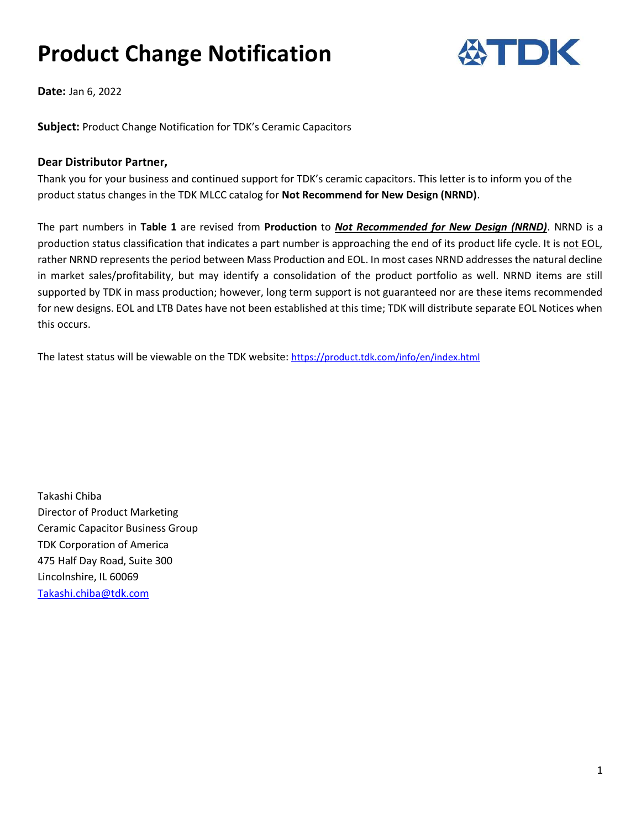# Product Change Notification



Date: Jan 6, 2022

Subject: Product Change Notification for TDK's Ceramic Capacitors

#### Dear Distributor Partner,

Thank you for your business and continued support for TDK's ceramic capacitors. This letter is to inform you of the product status changes in the TDK MLCC catalog for Not Recommend for New Design (NRND).

The part numbers in Table 1 are revised from Production to Not Recommended for New Design (NRND). NRND is a production status classification that indicates a part number is approaching the end of its product life cycle. It is not EOL, rather NRND represents the period between Mass Production and EOL. In most cases NRND addresses the natural decline in market sales/profitability, but may identify a consolidation of the product portfolio as well. NRND items are still supported by TDK in mass production; however, long term support is not guaranteed nor are these items recommended for new designs. EOL and LTB Dates have not been established at this time; TDK will distribute separate EOL Notices when this occurs.

The latest status will be viewable on the TDK website: https://product.tdk.com/info/en/index.html

Takashi Chiba Director of Product Marketing Ceramic Capacitor Business Group TDK Corporation of America 475 Half Day Road, Suite 300 Lincolnshire, IL 60069 Takashi.chiba@tdk.com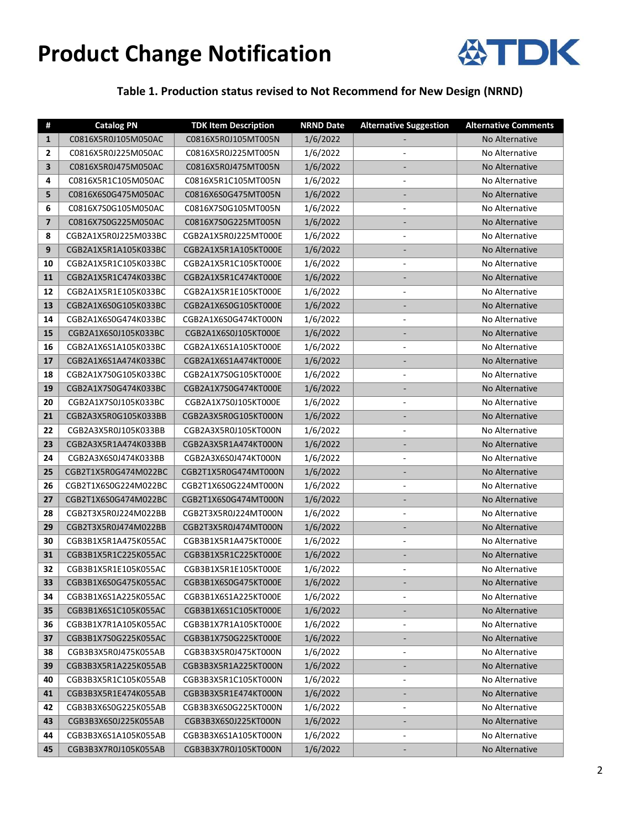## Product Change Notification



### Table 1. Production status revised to Not Recommend for New Design (NRND)

| #                       | <b>Catalog PN</b>    | <b>TDK Item Description</b> | <b>NRND Date</b> | <b>Alternative Suggestion</b> | <b>Alternative Comments</b> |
|-------------------------|----------------------|-----------------------------|------------------|-------------------------------|-----------------------------|
| $\mathbf{1}$            | C0816X5R0J105M050AC  | C0816X5R0J105MT005N         | 1/6/2022         | $\overline{\phantom{0}}$      | No Alternative              |
| 2                       | C0816X5R0J225M050AC  | C0816X5R0J225MT005N         | 1/6/2022         | $\blacksquare$                | No Alternative              |
| 3                       | C0816X5R0J475M050AC  | C0816X5R0J475MT005N         | 1/6/2022         |                               | No Alternative              |
| 4                       | C0816X5R1C105M050AC  | C0816X5R1C105MT005N         | 1/6/2022         | $\overline{\phantom{a}}$      | No Alternative              |
| 5                       | C0816X6S0G475M050AC  | C0816X6S0G475MT005N         | 1/6/2022         | -                             | No Alternative              |
| 6                       | C0816X7S0G105M050AC  | C0816X7S0G105MT005N         | 1/6/2022         | $\blacksquare$                | No Alternative              |
| $\overline{\mathbf{z}}$ | C0816X7S0G225M050AC  | C0816X7S0G225MT005N         | 1/6/2022         | $\overline{\phantom{0}}$      | No Alternative              |
| 8                       | CGB2A1X5R0J225M033BC | CGB2A1X5R0J225MT000E        | 1/6/2022         | $\overline{\phantom{a}}$      | No Alternative              |
| 9                       | CGB2A1X5R1A105K033BC | CGB2A1X5R1A105KT000E        | 1/6/2022         |                               | No Alternative              |
| 10                      | CGB2A1X5R1C105K033BC | CGB2A1X5R1C105KT000E        | 1/6/2022         | $\overline{\phantom{a}}$      | No Alternative              |
| 11                      | CGB2A1X5R1C474K033BC | CGB2A1X5R1C474KT000E        | 1/6/2022         | $\overline{\phantom{0}}$      | No Alternative              |
| 12                      | CGB2A1X5R1E105K033BC | CGB2A1X5R1E105KT000E        | 1/6/2022         | $\overline{\phantom{a}}$      | No Alternative              |
| 13                      | CGB2A1X6S0G105K033BC | CGB2A1X6S0G105KT000E        | 1/6/2022         | $\blacksquare$                | No Alternative              |
| 14                      | CGB2A1X6S0G474K033BC | CGB2A1X6S0G474KT000N        | 1/6/2022         | $\blacksquare$                | No Alternative              |
| 15                      | CGB2A1X6S0J105K033BC | CGB2A1X6S0J105KT000E        | 1/6/2022         | -                             | No Alternative              |
| 16                      | CGB2A1X6S1A105K033BC | CGB2A1X6S1A105KT000E        | 1/6/2022         | $\frac{1}{2}$                 | No Alternative              |
| 17                      | CGB2A1X6S1A474K033BC | CGB2A1X6S1A474KT000E        | 1/6/2022         | -                             | No Alternative              |
| 18                      | CGB2A1X7S0G105K033BC | CGB2A1X7S0G105KT000E        | 1/6/2022         | $\overline{\phantom{a}}$      | No Alternative              |
| 19                      | CGB2A1X7S0G474K033BC | CGB2A1X7S0G474KT000E        | 1/6/2022         |                               | No Alternative              |
| 20                      | CGB2A1X7S0J105K033BC | CGB2A1X7S0J105KT000E        | 1/6/2022         | $\overline{\phantom{a}}$      | No Alternative              |
| 21                      | CGB2A3X5R0G105K033BB | CGB2A3X5R0G105KT000N        | 1/6/2022         | ÷,                            | No Alternative              |
| 22                      | CGB2A3X5R0J105K033BB | CGB2A3X5R0J105KT000N        | 1/6/2022         | $\overline{\phantom{a}}$      | No Alternative              |
| 23                      | CGB2A3X5R1A474K033BB | CGB2A3X5R1A474KT000N        | 1/6/2022         | $\qquad \qquad \blacksquare$  | No Alternative              |
| 24                      | CGB2A3X6S0J474K033BB | CGB2A3X6S0J474KT000N        | 1/6/2022         | $\overline{\phantom{a}}$      | No Alternative              |
| 25                      | CGB2T1X5R0G474M022BC | CGB2T1X5R0G474MT000N        | 1/6/2022         | $\qquad \qquad \blacksquare$  | No Alternative              |
| 26                      | CGB2T1X6S0G224M022BC | CGB2T1X6S0G224MT000N        | 1/6/2022         | $\blacksquare$                | No Alternative              |
| 27                      | CGB2T1X6S0G474M022BC | CGB2T1X6S0G474MT000N        | 1/6/2022         | -                             | No Alternative              |
| 28                      | CGB2T3X5R0J224M022BB | CGB2T3X5R0J224MT000N        | 1/6/2022         | $\overline{\phantom{a}}$      | No Alternative              |
| 29                      | CGB2T3X5R0J474M022BB | CGB2T3X5R0J474MT000N        | 1/6/2022         | -                             | No Alternative              |
| 30                      | CGB3B1X5R1A475K055AC | CGB3B1X5R1A475KT000E        | 1/6/2022         | $\blacksquare$                | No Alternative              |
| 31                      | CGB3B1X5R1C225K055AC | CGB3B1X5R1C225KT000E        | 1/6/2022         | $\blacksquare$                | No Alternative              |
| 32                      | CGB3B1X5R1E105K055AC | CGB3B1X5R1E105KT000E        | 1/6/2022         | $\blacksquare$                | No Alternative              |
| 33                      | CGB3B1X6S0G475K055AC | CGB3B1X6S0G475KT000E        | 1/6/2022         | $\overline{\phantom{a}}$      | No Alternative              |
| 34                      | CGB3B1X6S1A225K055AC | CGB3B1X6S1A225KT000E        | 1/6/2022         | $\overline{\phantom{a}}$      | No Alternative              |
| 35                      | CGB3B1X6S1C105K055AC | CGB3B1X6S1C105KT000E        | 1/6/2022         |                               | No Alternative              |
| 36                      | CGB3B1X7R1A105K055AC | CGB3B1X7R1A105KT000E        | 1/6/2022         | $\overline{\phantom{a}}$      | No Alternative              |
| 37                      | CGB3B1X7S0G225K055AC | CGB3B1X7S0G225KT000E        | 1/6/2022         | $\overline{\phantom{a}}$      | No Alternative              |
| 38                      | CGB3B3X5R0J475K055AB | CGB3B3X5R0J475KT000N        | 1/6/2022         | $\overline{\phantom{a}}$      | No Alternative              |
| 39                      | CGB3B3X5R1A225K055AB | CGB3B3X5R1A225KT000N        | 1/6/2022         | ۳                             | No Alternative              |
| 40                      | CGB3B3X5R1C105K055AB | CGB3B3X5R1C105KT000N        | 1/6/2022         | $\overline{\phantom{a}}$      | No Alternative              |
| 41                      | CGB3B3X5R1E474K055AB | CGB3B3X5R1E474KT000N        | 1/6/2022         | -                             | No Alternative              |
| 42                      | CGB3B3X6S0G225K055AB | CGB3B3X6S0G225KT000N        | 1/6/2022         | $\overline{\phantom{a}}$      | No Alternative              |
| 43                      | CGB3B3X6S0J225K055AB | CGB3B3X6S0J225KT000N        | 1/6/2022         | Ξ                             | No Alternative              |
| 44                      | CGB3B3X6S1A105K055AB | CGB3B3X6S1A105KT000N        | 1/6/2022         | $\blacksquare$                | No Alternative              |
| 45                      | CGB3B3X7R0J105K055AB | CGB3B3X7R0J105KT000N        | 1/6/2022         | $\overline{\phantom{0}}$      | No Alternative              |